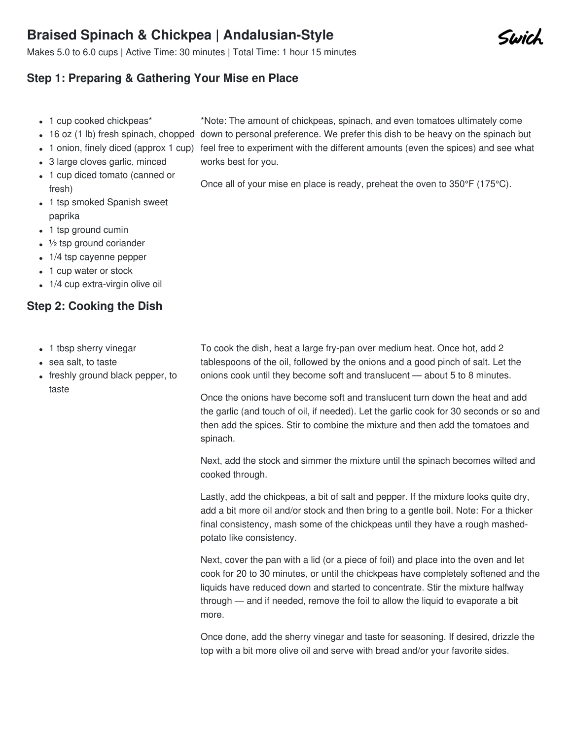## **Braised Spinach & Chickpea | Andalusian-Style**

Makes 5.0 to 6.0 cups | Active Time: 30 minutes | Total Time: 1 hour 15 minutes

## **Step 1: Preparing & Gathering Your Mise en Place**

- 1 cup cooked chickpeas\*
- 16 oz (1 lb) fresh spinach, chopped down to personal preference. We prefer this dish to be heavy on the spinach but
- 
- 3 large cloves garlic, minced
- 1 cup diced tomato (canned or fresh)
- 1 tsp smoked Spanish sweet paprika
- 1 tsp ground cumin
- $\cdot$   $\frac{1}{2}$  tsp ground coriander
- 1/4 tsp cayenne pepper
- 1 cup water or stock
- 1/4 cup extra-virgin olive oil

## **Step 2: Cooking the Dish**

- 1 tbsp sherry vinegar
- sea salt, to taste
- freshly ground black pepper, to taste

1 onion, finely diced (approx 1 cup) feel free to experiment with the different amounts (even the spices) and see what works best for you.

\*Note: The amount of chickpeas, spinach, and even tomatoes ultimately come

Once all of your mise en place is ready, preheat the oven to 350°F (175°C).

To cook the dish, heat a large fry-pan over medium heat. Once hot, add 2 tablespoons of the oil, followed by the onions and a good pinch of salt. Let the onions cook until they become soft and translucent — about 5 to 8 minutes.

Once the onions have become soft and translucent turn down the heat and add the garlic (and touch of oil, if needed). Let the garlic cook for 30 seconds or so and then add the spices. Stir to combine the mixture and then add the tomatoes and spinach.

Next, add the stock and simmer the mixture until the spinach becomes wilted and cooked through.

Lastly, add the chickpeas, a bit of salt and pepper. If the mixture looks quite dry, add a bit more oil and/or stock and then bring to a gentle boil. Note: For a thicker final consistency, mash some of the chickpeas until they have a rough mashedpotato like consistency.

Next, cover the pan with a lid (or a piece of foil) and place into the oven and let cook for 20 to 30 minutes, or until the chickpeas have completely softened and the liquids have reduced down and started to concentrate. Stir the mixture halfway through — and if needed, remove the foil to allow the liquid to evaporate a bit more.

Once done, add the sherry vinegar and taste for seasoning. If desired, drizzle the top with a bit more olive oil and serve with bread and/or your favorite sides.

Swich